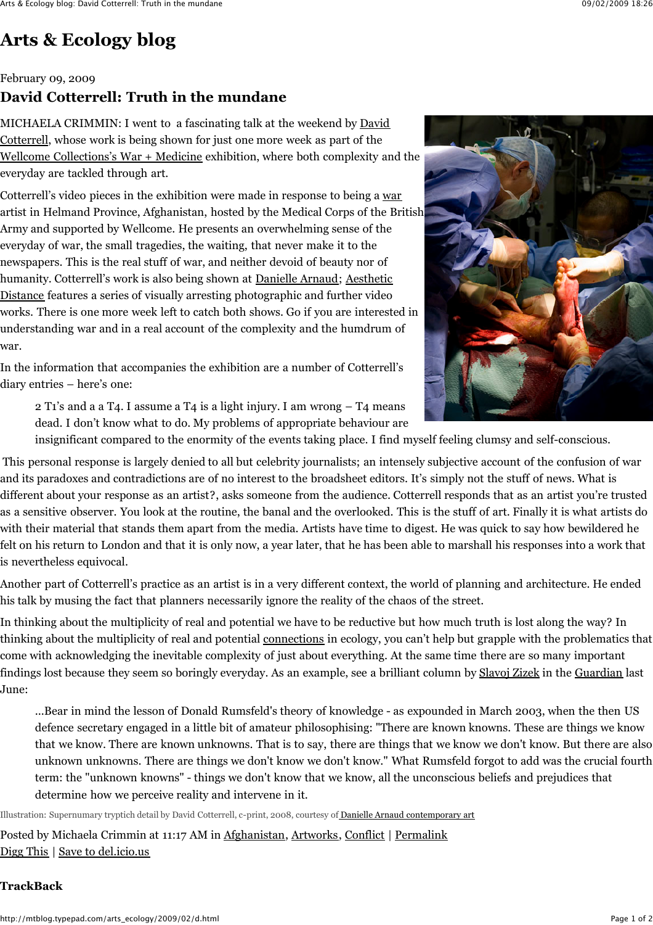# **[Arts & Ecology blog](http://mtblog.typepad.com/arts_ecology/)**

February 09, 2009

# **David Cotterrell: Truth in the mundane**

MICHAELA CRIMMIN: I went to a fascinating talk at the weekend by **David** Cotterrell, whose work is being shown for just one more week as part of the [Wellcome Collections's War + Medicine](http://www.wellcomecollection.org/exhibitionsandevents/exhibitions/war-and-medicine/index.htm) exhibition, where both complexity and the everyday are tackled through art.

Cotterrell's video pieces in the exhibition were made in response to being a [war](http://en.wikipedia.org/wiki/War_artist) artist in Helmand Province, Afghanistan, hosted by the Medical Corps of the British Army and supported by Wellcome. He presents an overwhelming sense of the everyday of war, the small tragedies, the waiting, that never make it to the newspapers. This is the real stuff of war, and neither devoid of beauty nor of humanity. Cotterrell's work is also being shown at **D[anielle Arnaud](http://www.daniellearnaud.com/)**[; Aesthetic](http://www.rsaartsandecology.org.uk/projects/events?SQ_CALENDAR_VIEW=event&SQ_CALENDAR_EVENT_ID=156264&SQ_CALENDAR_DATE=2009-02-01) Distance features a series of visually arresting photographic and further video works. There is one more week left to catch both shows. Go if you are interested in understanding war and in a real account of the complexity and the humdrum of war.

In the information that accompanies the exhibition are a number of Cotterrell's diary entries – here's one:

2 T1's and a a T4. I assume a T4 is a light injury. I am wrong  $-$  T4 means dead. I don't know what to do. My problems of appropriate behaviour are



insignificant compared to the enormity of the events taking place. I find myself feeling clumsy and self-conscious.

This personal response is largely denied to all but celebrity journalists; an intensely subjective account of the confusion of war and its paradoxes and contradictions are of no interest to the broadsheet editors. It's simply not the stuff of news. What is different about your response as an artist?, asks someone from the audience. Cotterrell responds that as an artist you're trusted as a sensitive observer. You look at the routine, the banal and the overlooked. This is the stuff of art. Finally it is what artists do with their material that stands them apart from the media. Artists have time to digest. He was quick to say how bewildered he felt on his return to London and that it is only now, a year later, that he has been able to marshall his responses into a work that is nevertheless equivocal.

Another part of Cotterrell's practice as an artist is in a very different context, the world of planning and architecture. He ended his talk by musing the fact that planners necessarily ignore the reality of the chaos of the street.

In thinking about the multiplicity of real and potential we have to be reductive but how much truth is lost along the way? In thinking about the multiplicity of real and potential [connections](http://mtblog.typepad.com/arts_ecology/2009/02/michaela-crimmin-one-of-john-thakeras-inspiring-accounts-of-his-activities-link-has-just-come-through-it-includes-a-gene.html) in ecology, you can't help but grapple with the problematics that come with acknowledging the inevitable complexity of just about everything. At the same time there are so many important findings lost because they seem so boringly everyday. As an example, see a brilliant column by [Slavoj Zizek](http://dialogic.blogspot.com/2009/02/slavoj-zizek-enchainments-of-meaning.html) in the [Guardian](http://www.guardian.co.uk/commentisfree/2008/jun/28/wildlife.conservation) last June:

...Bear in mind the lesson of Donald Rumsfeld's theory of knowledge - as expounded in March 2003, when the then US defence secretary engaged in a little bit of amateur philosophising: "There are known knowns. These are things we know that we know. There are known unknowns. That is to say, there are things that we know we don't know. But there are also unknown unknowns. There are things we don't know we don't know." What Rumsfeld forgot to add was the crucial fourth term: the "unknown knowns" - things we don't know that we know, all the unconscious beliefs and prejudices that determine how we perceive reality and intervene in it.

Illustration: Supernumary tryptich detail by David Cotterrell, c-print, 2008, courtesy of **Danielle Arnaud contemporary art** 

Posted by Michaela Crimmin at 11:17 AM in [Afghanistan,](http://mtblog.typepad.com/arts_ecology/afghanistan/) [Artworks,](http://mtblog.typepad.com/arts_ecology/artworks/) [Conflict](http://mtblog.typepad.com/arts_ecology/conflict/) | [Permalink](http://mtblog.typepad.com/arts_ecology/2009/02/d.html) [Digg This](http://digg.com/submit?url=http%3A%2F%2Fmtblog.typepad.com%2Farts_ecology%2F2009%2F02%2Fd.html&phase=2) | [Save to del.icio.us](http://del.icio.us/post)

#### **TrackBack**